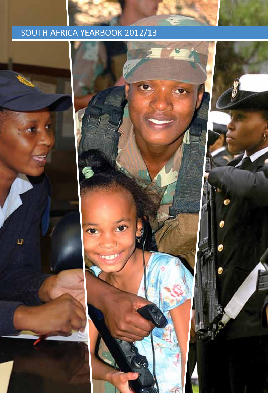# SOUTH AFRICA YEARBOOK 2012/13

 $\omega$ 

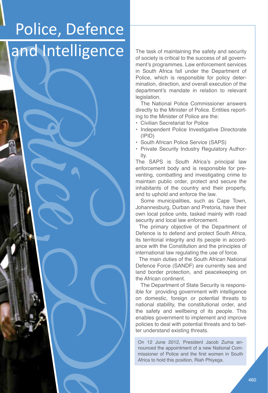# and Intelligence The task of maintaining the safety and security

France Control and Control and Control and Control and Control and Control and Control and Control and Control and Control and Control and Control and Control and Control and Control and Control and Control and Control and of society is critical to the success of all government's programmes. Law enforcement services in South Africa fall under the Department of Police, which is responsible for policy determination, direction, and overall execution of the department's mandate in relation to relevant legislation.

The National Police Commissioner answers directly to the Minister of Police. Entities reporting to the Minister of Police are the:

- Civilian Secretariat for Police
- Independent Police Investigative Directorate (IPID)
- South African Police Service (SAPS)
- Private Security Industry Regulatory Authority.

The SAPS is South Africa's principal law enforcement body and is responsible for preventing, combatting and investigating crime to maintain public order, protect and secure the inhabitants of the country and their property, and to uphold and enforce the law.

Some municipalities, such as Cape Town, Johannesburg, Durban and Pretoria, have their own local police units, tasked mainly with road security and local law enforcement.

The primary objective of the Department of Defence is to defend and protect South Africa, its territorial integrity and its people in accordance with the Constitution and the principles of international law regulating the use of force.

The main duties of the South African National Defence Force (SANDF) are currently sea and land border protection, and peacekeeping on the African continent.

The Department of State Security is responsible for providing government with intelligence on domestic, foreign or potential threats to national stability, the constitutional order, and the safety and wellbeing of its people. This enables government to implement and improve policies to deal with potential threats and to better understand existing threats.

On 12 June 2012, President Jacob Zuma announced the appointment of a new National Commissioner of Police and the first women in South Africa to hold this position, Riah Phiyega.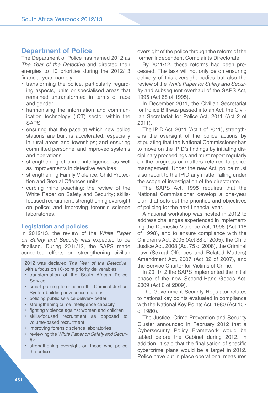# **Department of Police**

The Department of Police has named 2012 as *The Year of the Detective* and directed their energies to 10 priorities during the 2012/13 financial year, namely:

- transforming the police, particularly regarding aspects, units or specialised areas that remained untransformed in terms of race and gender
- harmonising the information and communication technology (ICT) sector within the SAPS
- ensuring that the pace at which new police stations are built is accelerated, especially in rural areas and townships; and ensuring committed personnel and improved systems and operations
- strengthening of crime intelligence, as well as improvements in detective services
- strengthening Family Violence, Child Protection and Sexual Offences units
- curbing rhino poaching; the review of the White Paper on Safety and Security; skillsfocused recruitment; strengthening oversight on police; and improving forensic science laboratories.

#### **Legislation and policies**

In 2012/13, the review of the *White Paper on Safety and Security* was expected to be finalised. During 2011/12, the SAPS made concerted efforts on strengthening civilian

2012 was declared *The Year of the Detective*; with a focus on 10-point priority deliverables:

- transformation of the South African Police Service
- smart policing to enhance the Criminal Justice Systembuilding new police stations
- policing public service delivery better
- strengthening crime intelligence capacity
- fighting violence against women and children
- skills-focused recruitment as opposed to volume-based recruitment
- improving forensic science laboratories
- reviewing the *White Paper on Safety and Security*
- strengthening oversight on those who police the police.

oversight of the police through the reform of the former Independent Complaints Directorate.

By 2011/12, these reforms had been processed. The task will not only be on ensuring delivery of this oversight bodies but also the review of the *White Paper for Safety and Security* and subsequent overhaul of the SAPS Act, 1995 (Act 68 of 1995).

In December 2011, the Civilian Secretariat for Police Bill was passed into an Act, the Civilian Secretariat for Police Act, 2011 (Act 2 of 2011).

The IPID Act, 2011 (Act 1 of 2011), strengthens the oversight of the police actions by stipulating that the National Commissioner has to move on the IPID's findings by initiating disciplinary proceedings and must report regularly on the progress or matters referred to police management. Under the new Act, police must also report to the IPID any matter falling under the scope of investigation of the directorate.

The SAPS Act, 1995 requires that the National Commissioner develop a one-year plan that sets out the priorities and objectives of policing for the next financial year.

A national workshop was hosted in 2012 to address challenges experienced in implementing the Domestic Violence Act, 1998 (Act 116 of 1998), and to ensure compliance with the Children's Act, 2005 (Act 38 of 2005), the Child Justice Act, 2008 (Act 75 of 2008), the Criminal Law (Sexual Offences and Related Matters) Amendment Act, 2007 (Act 32 of 2007), and the Service Charter for Victims of Crime.

In 2011/12 the SAPS implemented the initial phase of the new Second-Hand Goods Act, 2009 (Act 6 of 2009).

The Government Security Regulator relates to national key points evaluated in compliance with the National Key Points Act, 1980 (Act 102 of 1980).

The Justice, Crime Prevention and Security Cluster announced in February 2012 that a Cybersecurity Policy Framework would be tabled before the Cabinet during 2012. In addition, it said that the finalisation of specific cybercrime plans would be a target in 2012. Police have put in place operational measures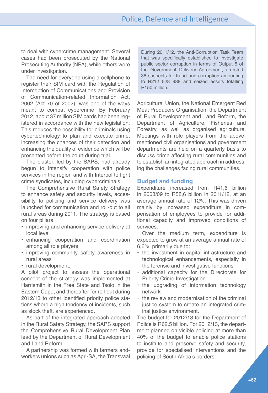to deal with cybercrime management. Several cases had been prosecuted by the National Prosecuting Authority (NPA), while others were under investigation.

The need for everyone using a cellphone to register their SIM card with the Regulation of Interception of Communications and Provision of Communication-related Information Act, 2002 (Act 70 of 2002), was one of the ways meant to combat cybercrime. By February 2012, about 37 million SIM cards had been registered in accordance with the new legislation. This reduces the possibility for criminals using cybertechnology to plan and execute crime, increasing the chances of their detection and enhancing the quality of evidence which will be presented before the court during trial.

The cluster, led by the SAPS, had already begun to intensify cooperation with police services in the region and with Interpol to fight crime syndicates, including cybercriminals.

The Comprehensive Rural Safety Strategy to enhance safety and security levels, accessibility to policing and service delivery was launched for communication and roll-out to all rural areas during 2011. The strategy is based on four pillars:

- improving and enhancing service delivery at local level
- enhancing cooperation and coordination among all role players
- improving community safety awareness in rural areas
- rural development.

A pilot project to assess the operational concept of the strategy was implemented at Harrismith in the Free State and Tsolo in the Eastern Cape; and thereafter for roll-out during 2012/13 to other identified priority police stations where a high tendency of incidents, such as stock theft, are experienced.

As part of the integrated approach adopted in the Rural Safety Strategy, the SAPS support the Comprehensive Rural Development Plan lead by the Department of Rural Development and Land Reform.

A partnership was formed with farmers andworkers unions such as Agri-SA, the Transvaal During 2011/12, the Anti-Corruption Task Team that was specifically established to investigate public sector corruption in terms of Output 5 of the Government Delivery Agreement, arrested 38 suspects for fraud and corruption amounting to R212 528 988 and seized assets totalling R150 million.

Agricultural Union, the National Emergent Red Meat Producers Organisation, the Department of Rural Development and Land Reform, the Department of Agriculture, Fisheries and Forestry, as well as organised agriculture. Meetings with role players from the abovementioned civil organisations and government departments are held on a quarterly basis to discuss crime affecting rural communities and to establish an integrated approach in addressing the challenges facing rural communities.

#### **Budget and funding**

Expenditure increased from R41,6 billion in 2008/09 to R58,6 billion in 2011/12, at an average annual rate of 12%. This was driven mainly by increased expenditure in compensation of employees to provide for additional capacity and improved conditions of services.

Over the medium term, expenditure is expected to grow at an average annual rate of 6,6%, primarily due to:

- the investment in capital infrastructure and technological enhancements, especially in the forensic and investigative functions
- additional capacity for the Directorate for Priority Crime Investigation
- the upgrading of information technology network
- the review and modernisation of the criminal justice system to create an integrated criminal justice environment.

The budget for 2012/13 for the Department of Police is R62,5 billion. For 2012/13, the department planned on visible policing at more than 40% of the budget to enable police stations to institute and preserve safety and security, provide for specialised interventions and the policing of South Africa's borders.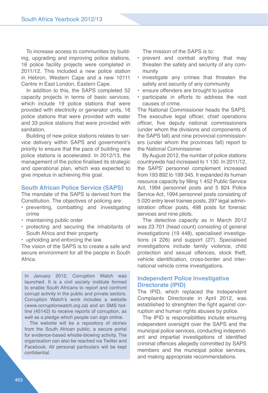To increase access to communities by building, upgrading and improving police stations, 16 police facility projects were completed in 2011/12. This included a new police station in Hebron, Western Cape and a new 10111 Centre in East London, Eastern Cape.

In addition to this, the SAPS completed 52 capacity projects in terms of basic services, which include 19 police stations that were provided with electricity or generator units, 16 police stations that were provided with water and 33 police stations that were provided with sanitation.

Building of new police stations relates to service delivery within SAPS and government's priority to ensure that the pace of building new police stations is accelerated. In 2012/13, the management of the police finalised its strategic and operational plan, which was expected to give impetus in achieving this goal.

#### **South African Police Service (SAPS)**

The mandate of the SAPS is derived from the Constitution. The objectives of policing are:

- preventing, combatting and investigating crime
- maintaining public order
- protecting and securing the inhabitants of South Africa and their property
- upholding and enforcing the law.

The vision of the SAPS is to create a safe and secure environment for all the people in South Africa.

In January 2012, Corruption Watch was launched. It is a civil society institute formed to enable South Africans to report and confront corrupt activity in the public and private sectors. Corruption Watch's work includes a website (*www.corruptionwatch.org.za*) and an SMS hotline (45142) to receive reports of corruption, as well as a pledge which people can sign online.

The website will be a repository of stories from the South African public, a secure portal for evidence-based whistle-blowing activity. The organisation can also be reached via Twitter and Facebook. All personal particulars will be kept confidential.

The mission of the SAPS is to:

- prevent and combat anything that may threaten the safety and security of any community
- investigate any crimes that threaten the safety and security of any community
- ensure offenders are brought to justice
- participate in efforts to address the root causes of crime.

The National Commissioner heads the SAPS. The executive legal officer, chief operations officer, five deputy national commissioners (under whom the divisions and components of the SAPS fall) and nine provincial commissioners (under whom the provinces fall) report to the National Commissioner.

By August 2012, the number of police stations countrywide had increased to 1 130. In 2011/12, the SAPS' personnel complement increased from 193 892 to 199 345. It expanded its human resource capacity by filling 1 452 Public Service Act, 1994 personnel posts and 5 824 Police Service Act, 1994 personnel posts consisting of 5 020 entry level trainee posts, 297 legal administration officer posts, 498 posts for forensic services and nine pilots.

The detective capacity as in March 2012 was 23 701 (head count) consisting of general investigations (19 448), specialised investigations (4 226) and support (27). Specialised investigations include family violence, child protection and sexual offences, stock theft, vehicle identification, cross-border and international vehicle crime investigations.

#### **Independent Police Investigative Directorate (IPID)**

The IPID, which replaced the Independent Complaints Directorate in April 2012, was established to strenghten the fight against corruption and human rights abuses by police.

The IPID is responsibilities include ensuring independent oversight over the SAPS and the municipal police services, conducting independent and impartial investigations of identified criminal offences allegedly committed by SAPS members and the municipal police services, and making appropriate recommendations.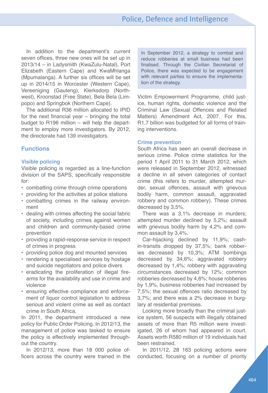In addition to the department's current seven offices, three new ones will be set up in 2013/14 – in Ladysmith (KwaZulu-Natal), Port Elizabeth (Eastern Cape) and KwaMhlanga (Mpumalanga). A further six offices will be set up in 2014/15 in Worcester (Western Cape), Vereeniging (Gauteng), Klerksdorp (Northwest), Kroonstad (Free State), Bela Bela (Limpopo) and Springbok (Northern Cape).

The additional R36 million allocated to IPID for the next financial year – bringing the total budget to R196 million – will help the department to employ more investigators. By 2012, the directorate had 139 investigators.

#### **Functions**

#### **Visible policing**

Visible policing is regarded as a line-function division of the SAPS, specifically responsible for:

- combatting crime through crime operations
- providing for the activities at police stations
- combatting crimes in the railway environment
- dealing with crimes affecting the social fabric of society, including crimes against women and children and community-based crime prevention
- providing a rapid-response service in respect of crimes in progress
- providing police dog and mounted services
- rendering a specialised services by hostage and suicide negotiators and police divers
- eradicating the proliferation of illegal firearms for the availability and use in crime and violence
- ensuring effective compliance and enforcement of liquor control legislation to address serious and violent crime as well as contact crime in South Africa.

In 2011, the department introduced a new policy for Public Order Policing. In 2012/13, the management of police was tasked to ensure the policy is effectively implemented throughout the country.

In 2012/13, more than 18 000 police officers across the country were trained in the In September 2012, a strategy to combat and reduce robberies at small business had been finalised. Through the Civilian Secretariat of Police, there was expected to be engagement with relevant parties to ensure the implementation of the strategy.

Victim Empowerment Programme, child justice, human rights, domestic violence and the Criminal Law (Sexual Offences and Related Matters) Amendment Act, 2007. For this, R1,7 billion was budgeted for all forms of training interventions.

#### **Crime prevention**

South Africa has seen an overall decrease in serious crime. Police crime statistics for the period 1 April 2011 to 31 March 2012, which were released in September 2012, witnessed a decline in all seven categories of contact crime (this refers to murder, attempted murder, sexual offences, assault with grievous bodily harm, common assault, aggravated robbery and common robbery). These crimes decreased by 3,5%.

There was a 3,1% decrease in murders; attempted murder declined by 5,2%; assault with grievous bodily harm by 4,2% and common assault by 3,4%.

Car-hijacking declined by 11,9%; cashin-transits dropped by 37,5%; bank robberies decreased by 10,3%; ATM bombings decreased by 34,6%; aggravated robbery decreased by 1,4%; robbery with aggravating circumstances decreased by 12%; common robberies decreased by 4,6%; house robberies by 1,9%, business robberies had increased by 7,5%; the sexual offences ratio decreased by 3,7%; and there was a 2% decrease in burglary at residential premises.

Looking more broadly than the criminal justice system, 56 suspects with illegally obtained assets of more than R5 million were investigated, 26 of whom had appeared in court. Assets worth R580 million of 19 individuals had been restrained.

In 2011/12, 28 163 policing actions were conducted, focusing on a number of priority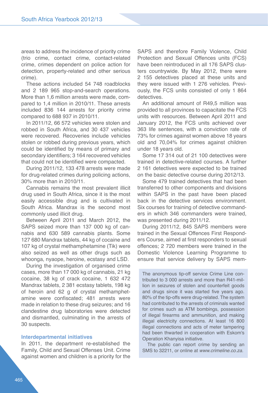areas to address the incidence of priority crime (trio crime, contact crime, contact-related crime, crimes dependent on police action for detection, property-related and other serious crime).

These actions included 54 748 roadblocks and 2 189 965 stop-and-search operations. More than 1,6 million arrests were made, compared to 1,4 million in 2010/11. These arrests included 836 144 arrests for priority crime compared to 688 937 in 2010/11.

In 2011/12, 66 572 vehicles were stolen and robbed in South Africa, and 30 437 vehicles were recovered. Recoveries include vehicles stolen or robbed during previous years, which could be identified by means of primary and secondary identifiers; 3 164 recovered vehicles that could not be identified were compacted.

During 2011/12, 133 478 arrests were made for drug-related crimes during policing actions, 30% more than in 2010/11.

Cannabis remains the most prevalent illicit drug used in South Africa, since it is the most easily accessible drug and is cultivated in South Africa. Mandrax is the second most commonly used illicit drug.

Between April 2011 and March 2012, the SAPS seized more than 137 000 kg of cannabis and 630 589 cannabis plants. Some 127 680 Mandrax tablets, 44 kg of cocaine and 107 kg of crystal methamphetamine (Tik) were also seized as well as other drugs such as whoonga, nyaope, heroine, ecstasy and LSD.

During the investigation of organised crime cases, more than 17 000 kg of cannabis, 21 kg cocaine, 38 kg of crack cocaine, 1 632 472 Mandrax tablets, 2 381 ecstasy tablets, 198 kg of heroin and 62 g of crystal methamphetamine were confiscated; 481 arrests were made in relation to these drug seizures; and 16 clandestine drug laboratories were detected and dismantled, culminating in the arrests of 30 suspects.

#### **Interdepartmental initiatives**

In 2011, the department re-established the Family, Child and Sexual Offenses Unit. Crime against women and children is a priority for the SAPS and therefore Family Violence, Child Protection and Sexual Offences units (FCS) have been reintroduced in all 176 SAPS clusters countrywide. By May 2012, there were 2 155 detectives placed at these units and they were issued with 1 276 vehicles. Previously, the FCS units consisted of only 1 864 detectives.

An additional amount of R49,5 million was provided to all provinces to capacitate the FCS units with resources. Between April 2011 and January 2012, the FCS units achieved over 363 life sentences, with a conviction rate of 73% for crimes against women above 18 years old and 70,04% for crimes against children under 18 years old.

Some 17 314 out of 21 100 detectives were trained in detective-related courses. A further 2 161 detectives were expected to be trained on the basic detective course during 2012/13.

Some 479 trained detectives that had been transferred to other components and divisions within SAPS in the past have been placed back in the detective services environment. Six courses for training of detective commanders in which 346 commanders were trained, was presented during 2011/12.

During 2011/12, 845 SAPS members were trained in the Sexual Offences First Responders Course, aimed at first responders to sexual offences; 2 720 members were trained in the Domestic Violence Learning Programme to ensure that service delivery by SAPS mem-

The anonymous tip-off service Crime Line contributed to 3 000 arrests and more than R41-million in seizures of stolen and counterfeit goods and drugs since it was started five years ago. 80% of the tip-offs were drug-related. The system had contributed to the arrests of criminals wanted for crimes such as ATM bombings, possession of illegal firearms and ammunition, and making illegal electricity connections. At least 16 800 illegal connections and acts of meter tampering had been thwarted in cooperation with Eskom's Operation Khanyisa initiative.

The public can report crime by sending an SMS to 32211, or online at *www.crimeline.co.za*.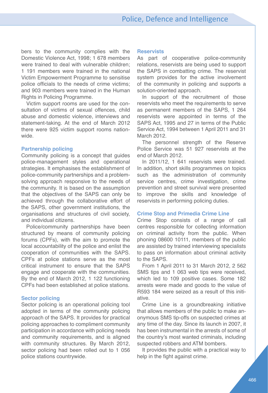bers to the community complies with the Domestic Violence Act, 1998; 1 678 members were trained to deal with vulnerable children; 1 191 members were trained in the national Victim Empowerment Programme to sensitise police officials to the needs of crime victims; and 903 members were trained in the Human Rights in Policing Programme.

Victim support rooms are used for the consultation of victims of sexual offences, child abuse and domestic violence, interviews and statement-taking. At the end of March 2012 there were 925 victim support rooms nationwide.

#### **Partnership policing**

Community policing is a concept that guides police-management styles and operational strategies. It emphasises the establishment of police-community partnerships and a problemsolving approach responsive to the needs of the community. It is based on the assumption that the objectives of the SAPS can only be achieved through the collaborative effort of the SAPS, other government institutions, the organisations and structures of civil society, and individual citizens.

Police/community partnerships have been structured by means of community policing forums (CPFs), with the aim to promote the local accountability of the police and enlist the cooperation of communities with the SAPS. CPFs at police stations serve as the most critical instrument to ensure that the SAPS engage and cooperate with the communities. By the end of March 2012, 1 122 functioning CPFs had been established at police stations.

#### **Sector policing**

Sector policing is an operational policing tool adopted in terms of the community policing approach of the SAPS. It provides for practical policing approaches to compliment community participation in accordance with policing needs and community requirements, and is aligned with community structures. By March 2012, sector policing had been rolled out to 1 056 police stations countrywide.

#### **Reservists**

As part of cooperative police-community relations, reservists are being used to support the SAPS in combatting crime. The reservist system provides for the active involvement of the community in policing and supports a solution-oriented approach.

In support of the recruitment of those reservists who meet the requirements to serve as permanent members of the SAPS, 1 264 reservists were appointed in terms of the SAPS Act, 1995 and 27 in terms of the Public Service Act, 1994 between 1 April 2011 and 31 March 2012.

The personnel strength of the Reserve Police Service was 51 927 reservists at the end of March 2012.

In 2011/12, 1 641 reservists were trained. In addition, short skills programmes on topics such as the administration of community service centres, crime investigation, crime prevention and street survival were presented to improve the skills and knowledge of reservists in performing policing duties.

#### **Crime Stop and Primedia Crime Line**

Crime Stop consists of a range of call centres responsible for collecting information on criminal activity from the public. When phoning 08600 10111, members of the public are assisted by trained interviewing specialists to pass on information about criminal activity to the SAPS.

From 1 April 2011 to 31 March 2012, 2 562 SMS tips and 1 063 web tips were received. which led to 109 positive cases. Some 182 arrests were made and goods to the value of R593 184 were seized as a result of this initiative.

Crime Line is a groundbreaking initiative that allows members of the public to make anonymous SMS tip-offs on suspected crimes at any time of the day. Since its launch in 2007, it has been instrumental in the arrests of some of the country's most wanted criminals, including suspected robbers and ATM bombers.

It provides the public with a practical way to help in the fight against crime.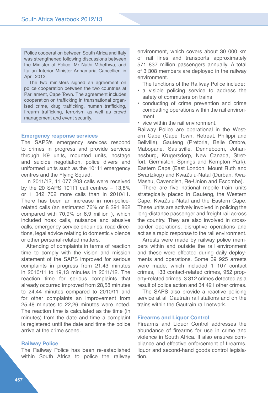Police cooperation between South Africa and Italy was strengthened following discussions between the Minister of Police, Mr Nathi Mthethwa, and Italian Interior Minister Annamaria Cancellieri in April 2012.

The two ministers signed an agreement on police cooperation between the two countries at Parliament, Cape Town. The agreement includes cooperation on trafficking in transnational organised crime, drug trafficking, human trafficking, firearm trafficking, terrorism as well as crowd management and event security.

#### **Emergency response services**

The SAPS's emergency services respond to crimes in progress and provide services through K9 units, mounted units, hostage and suicide negotiation, police divers and uniformed units such as the 10111 emergency centres and the Flying Squad.

In 2011/12, 11 077 203 calls were received by the 20 SAPS 10111 call centres  $-13.8\%$ or 1 342 702 more calls than in 2010/11. There has been an increase in non-policerelated calls (an estimated 76% or 8 391 862 compared with 70,9% or 6,9 million ), which included hoax calls, nuisance and abusive calls, emergency service enquiries, road directions, legal advice relating to domestic violence or other personal-related matters.

Attending of complaints in terms of reaction time to comply with the vision and mission statement of the SAPS improved for serious complaints in progress from 21,43 minutes in 2010/11 to 19,13 minutes in 2011/12. The reaction time for serious complaints that already occurred improved from 28,58 minutes to 24,44 minutes compared to 2010/11 and for other complaints an improvement from 25,48 minutes to 22,26 minutes were noted. The reaction time is calculated as the time (in minutes) from the date and time a complaint is registered until the date and time the police arrive at the crime scene.

#### **Railway Police**

The Railway Police has been re-established within South Africa to police the railway environment, which covers about 30 000 km of rail lines and transports approximately 571 837 million passengers annually. A total of 3 308 members are deployed in the railway environment.

The functions of the Railway Police include:

- a visible policing service to address the safety of commuters on trains
- conducting of crime prevention and crime combatting operations within the rail environment
- vice within the rail environment.

Railway Police are operational in the Western Cape (Cape Town, Retreat, Philippi and Bellville), Gauteng (Pretoria, Belle Ombre, Mabopane, Saulsville, Denneboom, Johannesburg, Krugersdorp, New Canada, Stretfort, Germiston, Springs and Kempton Park), Eastern Cape (East London, Mount Ruth and Swartzkop) and KwaZulu-Natal (Durban, Kwa-Mashu, Cavendish, Re-Union and Escombe).

There are five national mobile train units strategically placed in Gauteng, the Western Cape, KwaZulu-Natal and the Eastern Cape. These units are actively involved in policing the long-distance passenger and freight rail across the country. They are also involved in crossborder operations, disruptive operations and act as a rapid response to the rail environment.

Arrests were made by railway police members within and outside the rail environment and these were effected during daily deployments and operations. Some 39 925 arrests were made, which included 1 107 contact crimes, 133 contact-related crimes, 952 property-related crimes, 3 312 crimes detected as a result of police action and 34 421 other crimes.

The SAPS also provide a reactive policing service at all Gautrain rail stations and on the trains within the Gautrain rail network.

#### **Firearms and Liquor Control**

Firearms and Liquor Control addresses the abundance of firearms for use in crime and violence in South Africa. It also ensures compliance and effective enforcement of firearms, liquor and second-hand goods control legislation.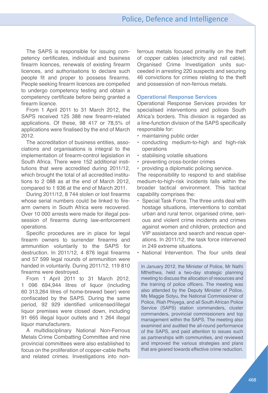The SAPS is responsible for issuing competency certificates, individual and business firearm licences, renewals of existing firearm licences, and authorisations to declare such people fit and proper to possess firearms. People seeking firearm licences are compelled to undergo competency testing and obtain a competency certificate before being granted a firearm licence.

From 1 April 2011 to 31 March 2012, the SAPS received 125 388 new firearm-related applications. Of these, 98 417 or 78,5% of applications were finalised by the end of March 2012.

The accreditation of business entities, associations and organisations is integral to the implementation of firearm-control legislation in South Africa. There were 152 additional institutions that were accredited during 2011/12, which brought the total of all accredited institutions to 2 088 as at the end of March 2012, compared to 1 936 at the end of March 2011.

During 2011/12, 8 744 stolen or lost firearms whose serial numbers could be linked to firearm owners in South Africa were recovered. Over 10 000 arrests were made for illegal possession of firearms during law-enforcement operations.

Specific procedures are in place for legal firearm owners to surrender firearms and ammunition voluntarily to the SAPS for destruction. In 2011/12, 4 876 legal firearms and 57 599 legal rounds of ammunition were handed in voluntarily. During 2011/12, 119 810 firearms were destroyed.

From 1 April 2011 to 31 March 2012, 1 096 694,944 litres of liquor (including 60 313,264 litres of home-brewed beer) were confiscated by the SAPS. During the same period, 92 929 identified unlicensed/illegal liquor premises were closed down, including 91 665 illegal liquor outlets and 1 264 illegal liquor manufacturers.

A multidisciplinary National Non-Ferrous Metals Crime Combatting Committee and nine provincial committees were also established to focus on the proliferation of copper-cable thefts and related crimes. Investigations into nonferrous metals focused primarily on the theft of copper cables (electricity and rail cable). Organised Crime Investigation units succeeded in arresting 220 suspects and securing 46 convictions for crimes relating to the theft and possession of non-ferrous metals.

#### **Operational Response Services**

Operational Response Services provides for specialised interventions and polices South Africa's borders. This division is regarded as a line-function division of the SAPS specifically responsible for:

- maintaining public order
- conducting medium-to-high and high-risk operations
- stabilising volatile situations
- preventing cross-border crimes
- providing a diplomatic policing service.

The responsibility to respond to and stabilise medium-to-high-risk incidents falls within the broader tactical environment. This tactical capability comprises the:

- Special Task Force. The three units deal with hostage situations, interventions to combat urban and rural terror, organised crime, serious and violent crime incidents and crimes against women and children, protection and VIP assistance and search and rescue operations. In 2011/12, the task force intervened in 249 extreme situations.
- National Intervention. The four units deal

In January 2012, the Minister of Police, Mr Nathi Mthethwa, held a two-day strategic planning meeting to discuss the allocation of resources and the training of police officers. The meeting was also attended by the Deputy Minister of Police, Ms Maggie Sotyu, the National Commissioner of Police, Riah Phiyega, and all South African Police Service (SAPS) station commanders, cluster commanders, provincial commissioners and top management within the SAPS. The meeting also examined and audited the all-round performance of the SAPS, and paid attention to issues such as partnerships with communities, and reviewed and improved the various strategies and plans that are geared towards effective crime reduction.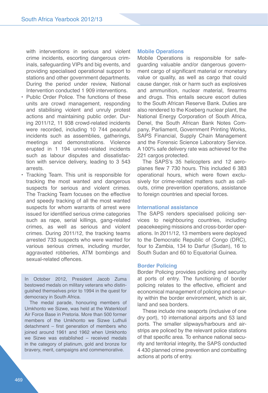with interventions in serious and violent crime incidents, escorting dangerous criminals, safeguarding VIPs and big events, and providing specialised operational support to stations and other government departments. During the period under review, National Intervention conducted 1 909 interventions.

- Public Order Police. The functions of these units are crowd management, responding and stabilising violent and unruly protest actions and maintaining public order. During 2011/12, 11 938 crowd-related incidents were recorded, including 10 744 peaceful incidents such as assemblies, gatherings, meetings and demonstrations. Violence erupted in 1 194 unrest-related incidents such as labour disputes and dissatisfaction with service delivery, leading to 3 543 arrests.
- Tracking Team. This unit is responsible for tracking the most wanted and dangerous suspects for serious and violent crimes. The Tracking Team focuses on the effective and speedy tracking of all the most wanted suspects for whom warrants of arrest were issued for identified serious crime categories such as rape, serial killings, gang-related crimes, as well as serious and violent crimes. During 2011/12, the tracking teams arrested 733 suspects who were wanted for various serious crimes, including murder, aggravated robberies, ATM bombings and sexual-related offences.

In October 2012, President Jacob Zuma bestowed medals on military veterans who distinguished themselves prior to 1994 in the quest for democracy in South Africa.

The medal parade, honouring members of Umkhonto we Sizwe, was held at the Waterkloof Air Force Base in Pretoria. More than 500 former members of the Umkhonto we Sizwe Luthuli detachment – first generation of members who joined around 1961 and 1962 when Umkhonto we Sizwe was established – received medals in the category of platinum, gold and bronze for bravery, merit, campaigns and commemorative.

#### **Mobile Operations**

Mobile Operations is responsible for safeguarding valuable and/or dangerous government cargo of significant material or monetary value or quality, as well as cargo that could cause danger, risk or harm such as explosives and ammunition, nuclear material, firearms and drugs. This entails secure escort duties to the South African Reserve Bank. Duties are also rendered to the Koeberg nuclear plant, the National Energy Corporation of South Africa, Denel, the South African Bank Notes Company, Parliament, Government Printing Works, SAPS Financial, Supply Chain Management and the Forensic Science Laboratory Service. A 100% safe delivery rate was achieved for the 221 cargos protected.

The SAPS's 35 helicopters and 12 aeroplanes flew 7 730 hours. This included 6 383 operational hours, which were flown exclusively for crime-related matters such as callouts, crime prevention operations, assistance to foreign countries and special forces.

#### **International assistance**

The SAPS renders specialised policing services to neighbouring countries, including peacekeeping missions and cross-border operations. In 2011/12, 13 members were deployed to the Democratic Republic of Congo (DRC), four to Zambia, 134 to Darfur (Sudan), 16 to South Sudan and 60 to Equatorial Guinea.

#### **Border Policing**

Border Policing provides policing and security at ports of entry. The functioning of border policing relates to the effective, efficient and economical management of policing and security within the border environment, which is air, land and sea borders.

These include nine seaports (inclusive of one dry port), 10 international airports and 53 land ports. The smaller slipways/harbours and airstrips are policed by the relevant police stations of that specific area. To enhance national security and territorial integrity, the SAPS conducted 4 430 planned crime prevention and combatting actions at ports of entry.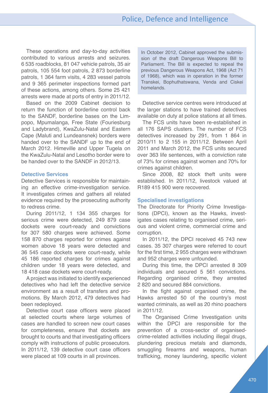These operations and day-to-day activities contributed to various arrests and seizures. 6 535 roadblocks, 81 047 vehicle patrols, 35 air patrols, 105 554 foot patrols, 2 873 borderline patrols, 1 364 farm visits, 4 283 vessel patrols and 9 365 perimeter inspections formed part of these actions, among others. Some 25 421 arrests were made at ports of entry in 2011/12.

Based on the 2009 Cabinet decision to return the function of borderline control back to the SANDF, borderline bases on the Limpopo, Mpumalanga, Free State (Fouriesburg and Ladybrand), KwaZulu-Natal and Eastern Cape (Maluti and Lundeansnek) borders were handed over to the SANDF up to the end of March 2012. Himeville and Upper Tugela on the KwaZulu-Natal and Lesotho border were to be handed over to the SANDF in 2012/13.

#### **Detective Services**

Detective Services is responsible for maintaining an effective crime-investigation service. It investigates crimes and gathers all related evidence required by the prosecuting authority to redress crime.

During 2011/12, 1 134 355 charges for serious crime were detected, 249 879 case dockets were court-ready and convictions for 307 580 charges were achieved. Some 158 870 charges reported for crimes against women above 18 years were detected and 36 545 case dockets were court-ready, while 45 186 reported charges for crimes against children under 18 years were detected, and 18 418 case dockets were court-ready.

A project was initiated to identify experienced detectives who had left the detective service environment as a result of transfers and promotions. By March 2012, 479 detectives had been redeployed.

Detective court case officers were placed at selected courts where large volumes of cases are handled to screen new court cases for completeness, ensure that dockets are brought to courts and that investigating officers comply with instructions of public prosecutors. In 2011/12, 139 detective court case officers were placed at 109 courts in all provinces.

In October 2012, Cabinet approved the submission of the draft Dangerous Weapons Bill to Parliament. The Bill is expected to repeal the previous Dangerous Weapons Act, 1968 (Act 71 of 1968), which was in operation in the former Transkei, Bophuthatswana, Venda and Ciskei homelands.

Detective service centres were introduced at the larger stations to have trained detectives available on duty at police stations at all times.

The FCS units have been re-established in all 176 SAPS clusters. The number of FCS detectives increased by 291, from 1 864 in 2010/11 to 2 155 in 2011/12. Between April 2011 and March 2012, the FCS units secured over 363 life sentences, with a conviction rate of 73% for crimes against women and 70% for crimes against children.

Since 2008, 82 stock theft units were established. In 2011/12, livestock valued at R189 415 900 were recovered.

#### **Specialised investigations**

The Directorate for Priority Crime Investigations (DPCI), known as the Hawks, investigates cases relating to organised crime, serious and violent crime, commercial crime and corruption.

In 2011/12, the DPCI received 45 743 new cases. 35 307 charges were referred to court for the first time, 2 955 charges were withdrawn and 952 charges were unfounded.

During this time, the DPCI arrested 8 309 individuals and secured 5 561 convictions. Regarding organised crime, they arrested 2 820 and secured 884 convictions.

In the fight against organised crime, the Hawks arrested 50 of the country's most wanted criminals, as well as 20 rhino poachers in 2011/12.

The Organised Crime Investigation units within the DPCI are responsible for the prevention of a cross-sector of organisedcrime-related activities including illegal drugs, plundering precious metals and diamonds, smuggling firearms and weapons, human trafficking, money laundering, specific violent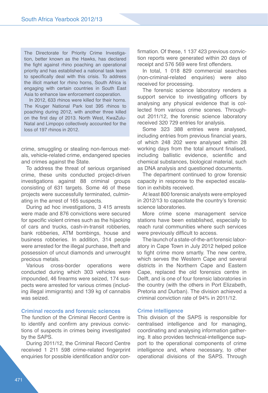The Directorate for Priority Crime Investigation, better known as the Hawks, has declared the fight against rhino poaching an operational priority and has established a national task team to specifically deal with this crisis. To address the illicit market for rhino horns, South Africa is engaging with certain countries in South East Asia to enhance law enforcement cooperation.

In 2012, 633 rhinos were killed for their horns. The Kruger National Park lost 395 rhinos to poaching during 2012, with another three killed on the first day of 2013. North West, KwaZulu-Natal and Limpopo collectively accounted for the loss of 197 rhinos in 2012.

crime, smuggling or stealing non-ferrous metals, vehicle-related crime, endangered species and crimes against the State.

To address the threat of serious organised crime, these units conducted project-driven investigations against 88 criminal groups consisting of 631 targets. Some 46 of these projects were successfully terminated, culminating in the arrest of 165 suspects.

During ad hoc investigations, 3 415 arrests were made and 876 convictions were secured for specific violent crimes such as the hijacking of cars and trucks, cash-in-transit robberies, bank robberies, ATM bombings, house and business robberies. In addition, 314 people were arrested for the illegal purchase, theft and possession of uncut diamonds and unwrought precious metals.

Various cross-border operations were conducted during which 303 vehicles were impounded, 46 firearms were seized, 174 suspects were arrested for various crimes (including illegal immigrants) and 139 kg of cannabis was seized.

#### **Criminal records and forensic sciences**

The function of the Criminal Record Centre is to identify and confirm any previous convictions of suspects in crimes being investigated by the SAPS.

During 2011/12, the Criminal Record Centre received 1 211 598 crime-related fingerprint enquiries for possible identification and/or confirmation. Of these, 1 137 423 previous conviction reports were generated within 20 days of receipt and 576 569 were first offenders.

In total, 1 018 829 commercial searches (non-criminal-related enquiries) were also received for processing.

The forensic science laboratory renders a support service to investigating officers by analysing any physical evidence that is collected from various crime scenes. Throughout 2011/12, the forensic science laboratory received 320 729 entries for analysis.

Some 323 388 entries were analysed, including entries from previous financial years, of which 248 202 were analysed within 28 working days from the total amount finalised, including ballistic evidence, scientific and chemical substances, biological material, such as DNA analysis and questioned documents.

The department continued to grow forensic capacity in response to the expected escalation in exhibits received.

At least 800 forensic analysts were employed in 2012/13 to capacitate the country's forensic science laboratories.

More crime scene management service stations have been established, especially to reach rural communities where such services were previously difficult to access.

The launch of a state-of-the-art forensic laboratory in Cape Town in July 2012 helped police to fight crime more smartly. The new centre, which serves the Western Cape and several districts in the Northern Cape and Eastern Cape, replaced the old forensics centre in Delft, and is one of four forensic laboratories in the country (with the others in Port Elizabeth, Pretoria and Durban). The division achieved a criminal conviction rate of 94% in 2011/12.

#### **Crime intelligence**

This division of the SAPS is responsible for centralised intelligence and for managing, coordinating and analysing information gathering. It also provides technical-intelligence support to the operational components of crime intelligence and, where necessary, to other operational divisions of the SAPS. Through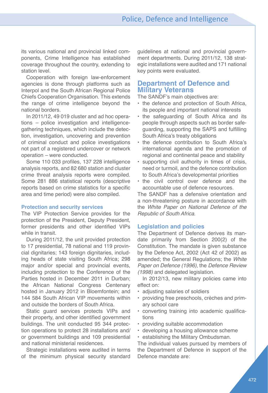its various national and provincial linked components, Crime Intelligence has established coverage throughout the country, extending to station level.

Cooperation with foreign law-enforcement agencies is done through platforms such as Interpol and the South African Regional Police Chiefs Cooperation Organisation. This extends the range of crime intelligence beyond the national borders.

In 2011/12, 49 019 cluster and ad hoc operations *–* police investigation and intelligencegathering techniques, which include the detection, investigation, uncovering and prevention of criminal conduct and police investigations not part of a registered undercover or network operation *–* were conducted.

Some 110 033 profiles, 137 228 intelligence analysis reports, and 82 680 station and cluster crime threat analysis reports were compiled. Some 281 886 statistical reports (descriptive reports based on crime statistics for a specific area and time period) were also compiled.

#### **Protection and security services**

The VIP Protection Service provides for the protection of the President, Deputy President, former presidents and other identified VIPs while in transit.

During 2011/12, the unit provided protection to 17 presidential, 78 national and 119 provincial dignitaries; 143 foreign dignitaries, including heads of state visiting South Africa; 298 major and/or special and provincial events, including protection to the Conference of the Parties hosted in December 2011 in Durban; the African National Congress Centenary hosted in January 2012 in Bloemfontein; and 144 584 South African VIP movements within and outside the borders of South Africa.

Static guard services protects VIPs and their property, and other identified government buildings. The unit conducted 95 344 protection operations to protect 28 installations and/ or government buildings and 109 presidential and national ministerial residences.

Strategic installations were audited in terms of the minimum physical security standard guidelines at national and provincial government departments. During 2011/12, 138 strategic installations were audited and 171 national key points were evaluated.

# **Department of Defence and Military Veterans**

The SANDF's main objectives are:

- the defence and protection of South Africa, its people and important national interests
- the safeguarding of South Africa and its people through aspects such as border safeguarding, supporting the SAPS and fulfilling South Africa's treaty obligations
- the defence contribution to South Africa's international agenda and the promotion of regional and continental peace and stability
- supporting civil authority in times of crisis, need or turmoil, and the defence contribution to South Africa's developmental priorities
- the civil control over defence and the accountable use of defence resources.

The SANDF has a defensive orientation and a non-threatening posture in accordance with the *White Paper on National Defence of the Republic of South Africa*.

#### **Legislation and policies**

The Department of Defence derives its mandate primarily from Section 200(2) of the Constitution. The mandate is given substance by the Defence Act, 2002 (Act 42 of 2002) as amended; the General Regulations; the *White Paper on Defence (1996)*, the *Defence Review (1998)* and delegated legislation.

In 2012/13, new military policies came into effect on:

- adjusting salaries of soldiers
- providing free preschools, crèches and primary school care
- converting training into academic qualifications
- providing suitable accommodation
- developing a housing allowance scheme
- establishing the Military Ombudsman.

The individual values pursued by members of the Department of Defence in support of the Defence mandate are: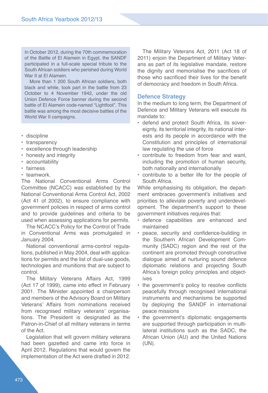In October 2012, during the 70th commemoration of the Battle of El Alamein in Egypt, the SANDF participated in a full-scale special tribute to the South African soldiers who perished during World War II at El Alamein.

More than 1 200 South African soldiers, both black and white, took part in the battle from 23 October to 4 November 1942, under the old Union Defence Force banner during the second battle of El Alamein code-named "Lightfoot". This battle was among the most decisive battles of the World War II campaigns.

- discipline
- transparency
- excellence through leadership
- honesty and integrity
- accountability
- fairness
- teamwork.

The National Conventional Arms Control Committee (NCACC) was established by the National Conventional Arms Control Act, 2002 (Act 41 of 2002), to ensure compliance with government policies in respect of arms control and to provide guidelines and criteria to be used when assessing applications for permits.

The NCACC's Policy for the Control of Trade in Conventional Arms was promulgated in January 2004.

National conventional arms-control regulations, published in May 2004, deal with applications for permits and the list of dual-use goods, technologies and munitions that are subject to control.

The Military Veterans Affairs Act, 1999 (Act 17 of 1999), came into effect in February 2001. The Minister appointed a chairperson and members of the Advisory Board on Military Veterans' Affairs from nominations received from recognised military veterans' organisations. The President is designated as the Patron-in-Chief of all military veterans in terms of the Act.

Legislation that will govern military veterans had been gazetted and came into force in April 2012. Regulations that would govern the implementation of the Act were drafted in 2012.

The Military Veterans Act, 2011 (Act 18 of 2011) enjoin the Department of Military Veterans as part of its legislative mandate, restore the dignity and memorialise the sacrifices of those who sacrificed their lives for the benefit of democracy and freedom in South Africa.

#### **Defence Strategy**

In the medium to long term, the Department of Defence and Military Veterans will execute its mandate to:

- defend and protect South Africa, its sovereignty, its territorial integrity, its national interests and its people in accordance with the Constitution and principles of international law regulating the use of force
- contribute to freedom from fear and want, including the promotion of human security, both nationally and internationally
- contribute to a better life for the people of South Africa.

While emphasising its obligation, the department embraces government's initiatives and priorities to alleviate poverty and underdevelopment. The department's support to these government initiatives requires that:

- defence capabilities are enhanced and maintained
- peace, security and confidence-building in the Southern African Development Community (SADC) region and the rest of the continent are promoted through constructive dialogue aimed at nurturing sound defence diplomatic relations and projecting South Africa's foreign policy principles and objectives
- the government's policy to resolve conflicts peacefully through recognised international instruments and mechanisms be supported by deploying the SANDF in international peace missions
- the government's diplomatic engagements are supported through participation in multilateral institutions such as the SADC, the African Union (AU) and the United Nations (UN).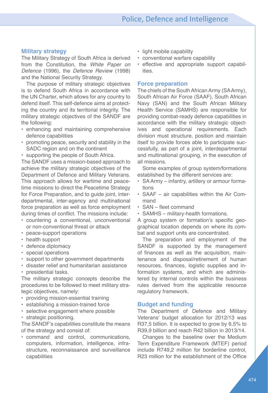#### **Military strategy**

The Military Strategy of South Africa is derived from the Constitution, the *White Paper on Defence* (1996), the *Defence Review* (1998) and the National Security Strategy.

The purpose of military strategic objectives is to defend South Africa in accordance with the UN Charter, which allows for any country to defend itself. This self-defence aims at protecting the country and its territorial integrity. The military strategic objectives of the SANDF are the following:

- enhancing and maintaining comprehensive defence capabilities
- promoting peace, security and stability in the SADC region and on the continent

• supporting the people of South Africa.

The SANDF uses a mission-based approach to achieve the military strategic objectives of the Department of Defence and Military Veterans. This approach allows for wartime and peacetime missions to direct the Peacetime Strategy for Force Preparation, and to guide joint, interdepartmental, inter-agency and multinational force preparation as well as force employment during times of conflict. The missions include:

- countering a conventional, unconventional or non-conventional threat or attack
- peace-support operations
- health support
- defence diplomacy
- special operations
- support to other government departments
- disaster relief and humanitarian assistance
- presidential tasks.

The military strategic concepts describe the procedures to be followed to meet military strategic objectives, namely:

- providing mission-essential training
- establishing a mission-trained force
- selective engagement where possible
- strategic positioning.

The SANDF's capabilities constitute the means of the strategy and consist of:

• command and control, communications, computers, information, intelligence, infrastructure, reconnaissance and surveillance capabilities

- light mobile capability
- conventional warfare capability
- effective and appropriate support capabilities.

#### **Force preparation**

The chiefs of the South African Army (SAArmy), South African Air Force (SAAF), South African Navy (SAN) and the South African Military Health Service (SAMHS) are responsible for providing combat-ready defence capabilities in accordance with the military strategic objectives and operational requirements. Each division must structure, position and maintain itself to provide forces able to participate successfully, as part of a joint, interdepartmental and multinational grouping, in the execution of all missions.

Some examples of group system/formations established by the different services are:

- SA Army infantry, artillery or armour formations
- SAAF air capabilities within the Air Command
- SAN fleet command
- SAMHS military-health formations.

A group system or formation's specific geographical location depends on where its combat and support units are concentrated.

The preparation and employment of the SANDF is supported by the management of finances as well as the acquisition, maintenance and disposal/retirement of human resources, finances, logistic supplies and information systems, and which are administered by internal controls within the business rules derived from the applicable resource regulatory framework.

#### **Budget and funding**

The Department of Defence and Military Veterans' budget allocation for 2012/13 was R37,5 billion. It is expected to grow by 6,5% to R39,9 billion and reach R42 billion in 2013/14.

Changes to the baseline over the Medium Term Expenditure Framework (MTEF) period include R749,2 million for borderline control, R23 million for the establishment of the Office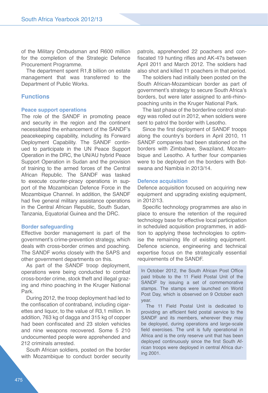of the Military Ombudsman and R600 million for the completion of the Strategic Defence Procurement Programme.

The department spent R1,8 billion on estate management that was transferred to the Department of Public Works.

#### **Functions**

#### **Peace support operations**

The role of the SANDF in promoting peace and security in the region and the continent necessitated the enhancement of the SANDF's peacekeeping capability, including its Forward Deployment Capability. The SANDF continued to participate in the UN Peace Support Operation in the DRC, the UN/AU hybrid Peace Support Operation in Sudan and the provision of training to the armed forces of the Central African Republic. The SANDF was tasked to execute counter-piracy operations in support of the Mozambican Defence Force in the Mozambique Channel. In addition, the SANDF had five general military assistance operations in the Central African Republic, South Sudan, Tanzania, Equatorial Guinea and the DRC.

#### **Border safeguarding**

Effective border management is part of the government's crime-prevention strategy, which deals with cross-border crimes and poaching. The SANDF works closely with the SAPS and other government departments on this.

As part of the SANDF troop deployment, operations were being conducted to combat cross-border crime, stock theft and illegal grazing and rhino poaching in the Kruger National Park.

During 2012, the troop deployment had led to the confiscation of contraband, including cigarettes and liquor, to the value of R3,1 million. In addition, 763 kg of dagga and 315 kg of copper had been confiscated and 23 stolen vehicles and nine weapons recovered. Some 5 210 undocumented people were apprehended and 212 criminals arrested.

South African soldiers, posted on the border with Mozambique to conduct border security patrols, apprehended 22 poachers and confiscated 19 hunting rifles and AK-47s between April 2011 and March 2012. The soldiers had also shot and killed 11 poachers in that period.

The soldiers had initially been posted on the South African-Mozambican border as part of government's strategy to secure South Africa's borders, but were later assigned to anti-rhinopoaching units in the Kruger National Park.

The last phase of the borderline control strategy was rolled out in 2012, when soldiers were sent to patrol the border with Lesotho.

Since the first deployment of SANDF troops along the country's borders in April 2010, 11 SANDF companies had been stationed on the borders with Zimbabwe, Swaziland, Mozambique and Lesotho. A further four companies were to be deployed on the borders with Botswana and Namibia in 2013/14.

#### **Defence acquisition**

Defence acquisition focused on acquiring new equipment and upgrading existing equipment, in 2012/13.

Specific technology programmes are also in place to ensure the retention of the required technology base for effective local participation in scheduled acquisition programmes, in addition to applying these technologies to optimise the remaining life of existing equipment. Defence science, engineering and technical expertise focus on the strategically essential requirements of the SANDF.

In October 2012, the South African Post Office paid tribute to the 11 Field Postal Unit of the SANDF by issuing a set of commemorative stamps. The stamps were launched on World Post Day, which is observed on 9 October each year.

The 11 Field Postal Unit is dedicated to providing an efficient field postal service to the SANDF and its members, wherever they may be deployed, during operations and large-scale field exercises. The unit is fully operational in Africa and is the only reserve unit that has been deployed continuously since the first South African troops were deployed in central Africa during 2001.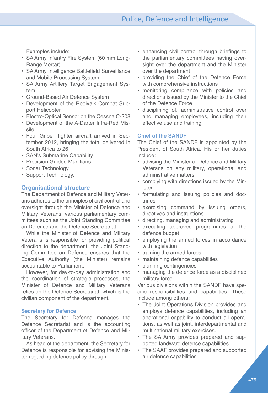Examples include:

- SA Army Infantry Fire System (60 mm Long-Range Mortar)
- SA Army Intelligence Battlefield Surveillance and Mobile Processing System
- SA Army Artillery Target Engagement System
- Ground-Based Air Defence System
- Development of the Rooivalk Combat Support Helicopter
- Electro-Optical Sensor on the Cessna C-208
- Development of the A-Darter Infra-Red Missile
- Four Gripen fighter aircraft arrived in September 2012, bringing the total delivered in South Africa to 26
- SAN's Submarine Capability
- Precision Guided Munitions
- Sonar Technology
- Support Technology.

#### **Organisational structure**

The Department of Defence and Military Veterans adheres to the principles of civil control and oversight through the Minister of Defence and Military Veterans, various parliamentary committees such as the Joint Standing Committee on Defence and the Defence Secretariat.

While the Minister of Defence and Military Veterans is responsible for providing political direction to the department, the Joint Standing Committee on Defence ensures that the Executive Authority (the Minister) remains accountable to Parliament.

However, for day-to-day administration and the coordination of strategic processes, the Minister of Defence and Military Veterans relies on the Defence Secretariat, which is the civilian component of the department.

#### **Secretary for Defence**

The Secretary for Defence manages the Defence Secretariat and is the accounting officer of the Department of Defence and Military Veterans.

As head of the department, the Secretary for Defence is responsible for advising the Minister regarding defence policy through:

- enhancing civil control through briefings to the parliamentary committees having oversight over the department and the Minister over the department
- providing the Chief of the Defence Force with comprehensive instructions
- monitoring compliance with policies and directions issued by the Minister to the Chief of the Defence Force
- disciplining of, administrative control over and managing employees, including their effective use and training.

#### **Chief of the SANDF**

The Chief of the SANDF is appointed by the President of South Africa. His or her duties include:

- advising the Minister of Defence and Military Veterans on any military, operational and administrative matters
- complying with directions issued by the Minister
- formulating and issuing policies and doctrines
- exercising command by issuing orders, directives and instructions
- directing, managing and administrating
- executing approved programmes of the defence budget
- employing the armed forces in accordance with legislation
- training the armed forces
- maintaining defence capabilities
- planning contingencies
- managing the defence force as a disciplined military force.

Various divisions within the SANDF have specific responsibilities and capabilities. These include among others:

- The Joint Operations Division provides and employs defence capabilities, including an operational capability to conduct all operations, as well as joint, interdepartmental and multinational military exercises.
- The SA Army provides prepared and supported landward defence capabilities.
- The SAAF provides prepared and supported air defence capabilities.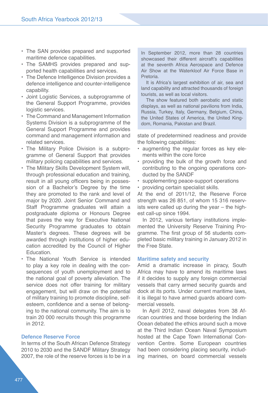- The SAN provides prepared and supported maritime defence capabilities.
- The SAMHS provides prepared and supported health capabilities and services.
- The Defence Intelligence Division provides a defence intelligence and counter-intelligence capability.
- Joint Logistic Services, a subprogramme of the General Support Programme, provides logistic services.
- The Command and Management Information Systems Division is a subprogramme of the General Support Programme and provides command and management information and related services.
- The Military Police Division is a subprogramme of General Support that provides military policing capabilities and services.
- The Military Skills Development System will, through professional education and training, result in all young officers being in possession of a Bachelor's Degree by the time they are promoted to the rank and level of major by 2020. Joint Senior Command and Staff Programme graduates will attain a postgraduate diploma or Honours Degree that paves the way for Executive National Security Programme graduates to obtain Master's degrees. These degrees will be awarded through institutions of higher education accredited by the Council of Higher Education.
- The National Youth Service is intended to play a key role in dealing with the consequences of youth unemployment and to the national goal of poverty alleviation. The service does not offer training for military engagement, but will draw on the potential of military training to promote discipline, selfesteem, confidence and a sense of belonging to the national community. The aim is to train 20 000 recruits though this programme in 2012.

#### **Defence Reserve Force**

In terms of the South African Defence Strategy 2010 to 2030 and the SANDF Military Strategy 2007, the role of the reserve forces is to be in a In September 2012, more than 28 countries showcased their different aircraft's capabilities at the seventh Africa Aerospace and Defence Air Show at the Waterkloof Air Force Base in Pretoria.

It is Africa's largest exhibition of air, sea and land capability and attracted thousands of foreign tourists, as well as local visitors.

The show featured both aerobatic and static displays, as well as national pavilions from India, Russia, Turkey, Italy, Germany, Belgium, China, the United States of America, the United Kingdom, Romania, Pakistan and Brazil.

state of predetermined readiness and provide the following capabilities:

- augmenting the regular forces as key elements within the core force
- providing the bulk of the growth force and contributing to the ongoing operations conducted by the SANDF
- supplementing peace-support operations
- providing certain specialist skills.

At the end of 2011/12, the Reserve Force strength was 26 851, of whom 15 316 reservists were called up during the year – the highest call-up since 1994.

In 2012, various tertiary institutions implemented the University Reserve Training Programme. The first group of 56 students completed basic military training in January 2012 in the Free State.

#### **Maritime safety and security**

Amid a dramatic increase in piracy, South Africa may have to amend its maritime laws if it decides to supply any foreign commercial vessels that carry armed security guards and dock at its ports. Under current maritime laws, it is illegal to have armed guards aboard commercial vessels.

In April 2012, naval delegates from 38 African countries and those bordering the Indian Ocean debated the ethics around such a move at the Third Indian Ocean Naval Symposium hosted at the Cape Town International Convention Centre. Some European countries had been considering placing security, including marines, on board commercial vessels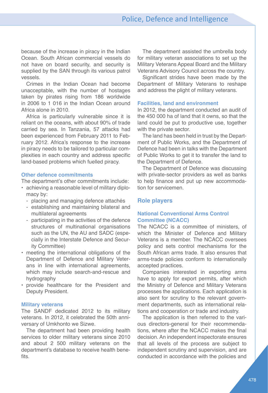because of the increase in piracy in the Indian Ocean. South African commercial vessels do not have on board security, and security is supplied by the SAN through its various patrol vessels.

Crimes in the Indian Ocean had become unacceptable, with the number of hostages taken by pirates rising from 186 worldwide in 2006 to 1 016 in the Indian Ocean around Africa alone in 2010.

Africa is particularly vulnerable since it is reliant on the oceans, with about 90% of trade carried by sea. In Tanzania, 57 attacks had been experienced from February 2011 to February 2012. Africa's response to the increase in piracy needs to be tailored to particular complexities in each country and address specific land-based problems which fuelled piracy.

#### **Other defence commitments**

The department's other commitments include:

- achieving a reasonable level of military diplomacy by:
	- placing and managing defence attachés
	- establishing and maintaining bilateral and multilateral agreements
	- participating in the activities of the defence structures of multinational organisations such as the UN, the AU and SADC (especially in the Interstate Defence and Security Committee)
- meeting the international obligations of the Department of Defence and Military Veterans in line with international agreements, which may include search-and-rescue and hydrography
- provide healthcare for the President and Deputy President.

#### **Military veterans**

The SANDF dedicated 2012 to its military veterans. In 2012, it celebrated the 50th anniversary of Umkhonto we Sizwe.

The department had been providing health services to older military veterans since 2010 and about 2 500 military veterans on the department's database to receive health benefits.

The department assisted the umbrella body for military veteran associations to set up the Military Veterans Appeal Board and the Military Veterans Advisory Council across the country.

Significant strides have been made by the Department of Military Veterans to reshape and address the plight of military veterans.

#### **Facilities, land and environment**

In 2012, the department conducted an audit of the 450 000 ha of land that it owns, so that the land could be put to productive use, together with the private sector.

The land has been held in trust by the Department of Public Works, and the Department of Defence had been in talks with the Department of Public Works to get it to transfer the land to the Department of Defence.

The Department of Defence was discussing with private-sector providers as well as banks to help finance and put up new accommodation for servicemen.

#### **Role players**

#### **National Conventional Arms Control Committee (NCACC)**

The NCACC is a committee of ministers, of which the Minister of Defence and Military Veterans is a member. The NCACC oversees policy and sets control mechanisms for the South African arms trade. It also ensures that arms-trade policies conform to internationally accepted practices.

Companies interested in exporting arms have to apply for export permits, after which the Ministry of Defence and Military Veterans processes the applications. Each application is also sent for scrutiny to the relevant government departments, such as international relations and cooperation or trade and industry.

The application is then referred to the various directors-general for their recommendations, where after the NCACC makes the final decision. An independent inspectorate ensures that all levels of the process are subject to independent scrutiny and supervision, and are conducted in accordance with the policies and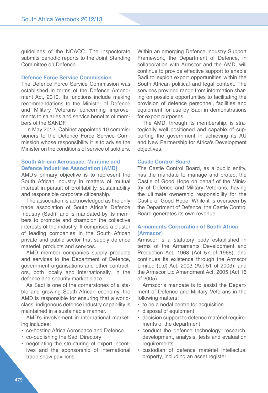guidelines of the NCACC. The inspectorate submits periodic reports to the Joint Standing Committee on Defence.

#### **Defence Force Service Commission**

The Defence Force Service Commission was established in terms of the Defence Amendment Act, 2010. Its functions include making recommendations to the Minister of Defence and Military Veterans concerning improvements to salaries and service benefits of members of the SANDF.

In May 2012, Cabinet appointed 10 commissioners to the Defence Force Service Commission whose responsibility it is to advise the Minister on the conditions of service of soldiers.

# **South African Aerospace, Maritime and Defence Industries Association (AMD)**

AMD's primary objective is to represent the South African industry in matters of mutual interest in pursuit of profitability, sustainability and responsible corporate citizenship.

The association is acknowledged as the only trade association of South Africa's Defence Industry (Sadi), and is mandated by its members to promote and champion the collective interests of the industry. It comprises a cluster of leading companies in the South African private and public sector that supply defence materiel, products and services.

AMD member companies supply products and services to the Department of Defence, government organisations and other contractors, both locally and internationally, in the defence and security market place.

As Sadi is one of the cornerstones of a stable and growing South African economy, the AMD is responsible for ensuring that a worldclass, indigenous defence industry capability is maintained in a sustainable manner.

AMD's involvement in international marketing includes:

- co-hosting Africa Aerospace and Defence
- co-publishing the Sadi Directory
- negotiating the structuring of export incentives and the sponsorship of international trade show pavilions.

Within an emerging Defence Industry Support Framework, the Department of Defence, in collaboration with Armscor and the AMD, will continue to provide effective support to enable Sadi to exploit export opportunities within the South African political and legal context. The services provided range from information sharing on possible opportunities to facilitating the provision of defence personnel, facilities and equipment for use by Sadi in demonstrations for export purposes.

The AMD, through its membership, is strategically well positioned and capable of supporting the government in achieving its AU and New Partnership for Africa's Development objectives.

#### **Castle Control Board**

The Castle Control Board, as a public entity, has the mandate to manage and protect the Castle of Good Hope on behalf of the Ministry of Defence and Military Veterans, having the ultimate ownership responsibility for the Castle of Good Hope. While it is overseen by the Department of Defence, the Castle Control Board generates its own revenue.

#### **Armaments Corporation of South Africa (Armscor**)

Armscor is a statutory body established in terms of the Armaments Development and Production Act, 1968 (Act 57 of 1968), and continues its existence through the Armscor Limited (Ltd) Act, 2003 (Act 51 of 2003), and the Armscor Ltd Amendment Act, 2005 (Act 16 of 2005).

Armscor's mandate is to assist the Department of Defence and Military Veterans in the following matters:

- to be a nodal centre for acquisition
- disposal of equipment
- decision support to defence matériel requirements of the department
- conduct the defence technology, research, development, analysis, tests and evaluation requirements
- custodian of defence matériel intellectual property, including an asset register.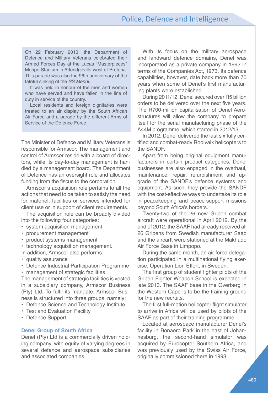On 22 February 2013, the Department of Defence and Military Veterans celebrated their Armed Forces Day at the Lucas "Masterpieces" Moripe Stadium in Atteridgeville west of Pretoria. This parade was also the 96th anniversary of the fateful sinking of the *SS Mendi*.

It was held in honour of the men and women who have served and have fallen in the line of duty in service of the country.

Local residents and foreign dignitaries were treated to an air display by the South African Air Force and a parade by the different Arms of Service of the Defence Force.

The Minister of Defence and Military Veterans is responsible for Armscor. The management and control of Armscor reside with a board of directors, while its day-to-day management is handled by a management board. The Department of Defence has an oversight role and allocates funding from the fiscus to the corporation.

Armscor's acquisition role pertains to all the actions that need to be taken to satisfy the need for materiél, facilities or services intended for client use or in support of client requirements.

The acquisition role can be broadly divided into the following four categories:

- system acquisition management
- procurement management
- product systems management

• technology acquisition management.

- In addition, Armscor also performs:
- quality assurance
- Defence Industrial Participation Programme

• management of strategic facilities.

The management of strategic facilities is vested in a subsidiary company, Armscor Business (Pty) Ltd. To fulfil its mandate, Armscor Business is structured into three groups, namely:

- Defence Science and Technology Institute
- Test and Evaluation Facility
- Defence Support.

#### **Denel Group of South Africa**

Denel (Pty) Ltd is a commercially driven holding company, with equity of varying degrees in several defence and aerospace subsidiaries and associated companies.

With its focus on the military aerospace and landward defence domains, Denel was incorporated as a private company in 1992 in terms of the Companies Act, 1973. Its defence capabilities, however, date back more than 70 years when some of Denel's first manufacturing plants were established.

During 2011/12, Denel secured over R5 billion orders to be delivered over the next five years. The R700-million capitalisation of Denel Aerostructures will allow the company to prepare itself for the serial manufacturing phase of the A44M programme, which started in 2012/13.

In 2012, Denel delivered the last six fully certified and combat-ready Rooivalk helicopters to the SANDF.

Apart from being original equipment manufacturers in certain product categories, Denel businesses are also engaged in the overhaul, maintenance, repair, refurbishment and upgrade of the SANDF's defence systems and equipment. As such, they provide the SANDF with the cost-effective ways to undertake its role in peacekeeping and peace-support missions beyond South Africa's borders.

Twenty-two of the 26 new Gripen combat aircraft were operational in April 2012. By the end of 2012, the SAAF had already received all 26 Gripens from Swedish manufacturer Saab and the aircarft were stationed at the Makhado Air Force Base in Limpopo.

During the same month, an air force delegation participated in a multinational flying exercise, Operation Lion Effort, in Sweden.

The first group of student fighter pilots of the Gripen Fighter Weapon School is expected in late 2013. The SAAF base in the Overberg in the Western Cape is to be the training ground for the new recruits.

The first full-motion helicopter flight simulator to arrive in Africa will be used by pilots of the SAAF as part of their training programme.

Located at aerospace manufacturer Denel's facility in Bonaero Park in the east of Johannesburg, the second-hand simulator was acquired by Eurocopter Southern Africa, and was previously used by the Swiss Air Force, originally commissioned there in 1993.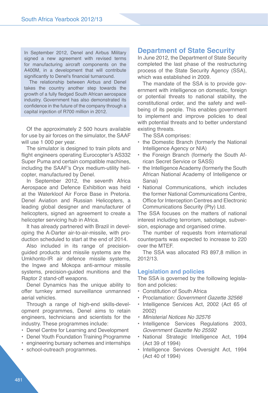In September 2012, Denel and Airbus Military signed a new agreement with revised terms for manufacturing aircraft components on the A400M, in a development that will contribute significantly to Denel's financial turnaround.

The relationship between Airbus and Denel takes the country another step towards the growth of a fully fledged South African aerospace industry. Government has also demonstrated its confidence in the future of the company through a capital injection of R700 million in 2012.

Of the approximately 2 500 hours available for use by air forces on the simulator, the SAAF will use 1 000 per year.

The simulator is designed to train pilots and flight engineers operating Eurocopter's AS332 Super Puma and certain compatible machines, including the SAAF's Oryx medium-utility helicopter, manufactured by Denel.

In September 2012, the seventh Africa Aerospace and Defence Exhibition was held at the Waterkloof Air Force Base in Pretoria. Denel Aviation and Russian Helicopters, a leading global designer and manufacturer of helicopters, signed an agreement to create a helicopter servicing hub in Africa.

It has already partnered with Brazil in developing the A-Darter air-to-air-missile, with production scheduled to start at the end of 2014.

Also included in its range of precisionguided products and missile systems are the Umkhonto-IR air defence missile systems, the Ingwe and Mokopa anti-armour missile systems, precision-guided munitions and the Raptor 2 stand-off weapons.

Denel Dynamics has the unique ability to offer turnkey armed surveillance unmanned aerial vehicles.

Through a range of high-end skills-development programmes, Denel aims to retain engineers, technicians and scientists for the industry. These programmes include:

- Denel Centre for Learning and Development
- Denel Youth Foundation Training Programme
- engineering bursary schemes and internships
- school-outreach programmes.

# **Department of State Security**

In June 2012, the Department of State Security completed the last phase of the restructuring process of the State Security Agency (SSA), which was established in 2009.

The mandate of the SSA is to provide government with intelligence on domestic, foreign or potential threats to national stability, the constitutional order, and the safety and wellbeing of its people. This enables government to implement and improve policies to deal with potential threats and to better understand existing threats.

The SSA comprises:

- the Domestic Branch (formerly the National Intelligence Agency or NIA)
- the Foreign Branch (formerly the South African Secret Service or SASS)
- the Intelligence Academy (formerly the South African National Academy of Intelligence or Sanai)
- National Communications, which includes the former National Communications Centre, Office for Interception Centres and Electronic Communications Security (Pty) Ltd.

The SSA focuses on the matters of national interest including terrorism, sabotage, subversion, espionage and organised crime.

The number of requests from international counterparts was expected to increase to 220 over the MTEF.

The SSA was allocated R3 897,8 million in 2012/13.

#### **Legislation and policies**

The SSA is governed by the foillowing legislation and policies:

- Constitution of South Africa
- Proclamation: *Government Gazette 32566*
- Intelligence Services Act, 2002 (Act 65 of 2002)
- • *Ministerial Notices No 32576*
- Intelligence Services Regulations 2003, *Government Gazette No 25592*
- National Strategic Intelligence Act, 1994 (Act 39 of 1994)
- Intelligence Services Oversight Act, 1994 (Act 40 of 1994)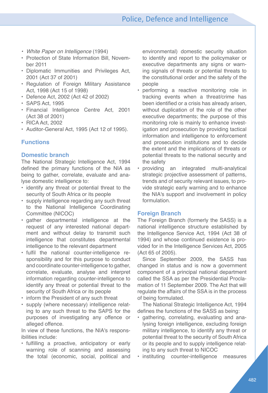- • *White Paper on Intelligence* (1994)
- Protection of State Information Bill, November 2011
- Diplomatic Immunities and Privileges Act, 2001 (Act 37 of 2001)
- Regulation of Foreign Military Assistance Act, 1998 (Act 15 of 1998)
- Defence Act, 2002 (Act 42 of 2002)
- SAPS Act, 1995
- Financial Intelligence Centre Act, 2001 (Act 38 of 2001)
- RICA Act, 2002
- Auditor-General Act, 1995 (Act 12 of 1995).

# **Functions**

#### **Domestic branch**

The National Strategic Intelligence Act, 1994 defined the primary functions of the NIA as being to gather, correlate, evaluate and analyse domestic intelligence to:

- identify any threat or potential threat to the security of South Africa or its people
- supply intelligence regarding any such threat to the National Intelligence Coordinating Committee (NICOC)
- gather departmental intelligence at the request of any interested national department and without delay to transmit such intelligence that constitutes departmental intelligence to the relevant department
- fulfil the national counter-intelligence responsibility and for this purpose to conduct and coordinate counter-intelligence to gather, correlate, evaluate, analyse and interpret information regarding counter-intelligence to identify any threat or potential threat to the security of South Africa or its people
- inform the President of any such threat
- supply (where necessary) intelligence relating to any such threat to the SAPS for the purposes of investigating any offence or alleged offence.

In view of these functions, the NIA's responsibilities include:

• fulfilling a proactive, anticipatory or early warning role of scanning and assessing the total (economic, social, political and environmental) domestic security situation to identify and report to the policymaker or executive departments any signs or warning signals of threats or potential threats to the constitutional order and the safety of the people

- performing a reactive monitoring role in tracking events when a threat/crime has been identified or a crisis has already arisen, without duplication of the role of the other executive departments; the purpose of this monitoring role is mainly to enhance investigation and prosecution by providing tactical information and intelligence to enforcement and prosecution institutions and to decide the extent and the implications of threats or potential threats to the national security and the safety
- providing an integrated multi-analytical strategic projective assessment of patterns, trends and of security relevant issues, to provide strategic early warning and to enhance the NIA's support and involvement in policy formulation.

#### **Foreign Branch**

The Foreign Branch (formerly the SASS) is a national intelligence structure established by the Intelligence Service Act, 1994 (Act 38 of 1994) and whose continued existence is provided for in the Intelligence Services Act, 2005 (Act 65 of 2005).

Since September 2009, the SASS has changed in status and is now a government component of a principal national department called the SSA as per the Presidential Proclamation of 11 September 2009. The Act that will regulate the affairs of the SSA is in the process of being formulated.

The National Strategic Intelligence Act, 1994 defines the functions of the SASS as being:

- gathering, correlating, evaluating and analysing foreign intelligence, excluding foreign military intelligence, to identify any threat or potential threat to the security of South Africa or its people and to supply intelligence relating to any such threat to NICOC
- instituting counter-intelligence measures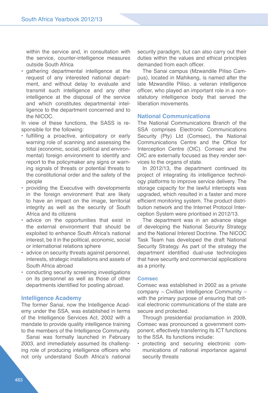within the service and, in consultation with the service, counter-intelligence measures outside South Africa

• gathering departmental intelligence at the request of any interested national department, and without delay to evaluate and transmit such intelligence and any other intelligence at the disposal of the service and which constitutes departmental intelligence to the department concerned and to the NICOC.

In view of these functions, the SASS is responsible for the following:

- fulfilling a proactive, anticipatory or early warning role of scanning and assessing the total (economic, social, political and environmental) foreign environment to identify and report to the policymaker any signs or warning signals of threats or potential threats to the constitutional order and the safety of the people
- providing the Executive with developments in the foreign environment that are likely to have an impact on the image, territorial integrity as well as the security of South Africa and its citizens
- advice on the opportunities that exist in the external environment that should be exploited to enhance South Africa's national interest, be it in the political, economic, social or international relations sphere
- advice on security threats against personnel, interests, strategic installations and assets of South Africa abroad
- conducting security screening investigations on its personnel as well as those of other departments identified for posting abroad.

#### **Intelligence Academy**

The former Sanai, now the Intelligence Academy under the SSA, was established in terms of the Intelligence Services Act, 2002 with a mandate to provide quality intelligence training to the members of the Intelligence Community.

Sanai was formally launched in February 2003, and immediately assumed its challenging role of producing intelligence officers who not only understand South Africa's national security paradigm, but can also carry out their duties within the values and ethical principles demanded from each officer.

The Sanai campus (Mzwandile Piliso Campus), located in Mahikeng, is named after the late Mzwandile Piliso, a veteran intelligence officer, who played an important role in a nonstatutory intelligence body that served the liberation movements.

#### **National Communications**

The National Communications Branch of the SSA comprises Electronic Communications Security (Pty) Ltd (Comsec), the National Communications Centre and the Office for Interception Centre (OIC). Comsec and the OIC are externally focused as they render services to the organs of state.

In 2012/13, the department continued its project of integrating its intelligence technology platforms to improve service delivery. The storage capacity for the lawful intercepts was upgraded, which resulted in a faster and more efficient monitoring system. The product distribution network and the Internet Protocol Interception System were prioritised in 2012/13.

The department was in an advance stage of developing the National Security Strategy and the National Interest Doctrine. The NICOC Task Team has developed the draft National Security Strategy. As part of the strategy the department identified dual-use technologies that have security and commercial applications as a priority.

#### **Comsec**

Comsec was established in 2002 as a private company *–* Civillian Intelligence Community *–* with the primary purpose of ensuring that critical electronic communications of the state are secure and protected.

Through presidential proclamation in 2009, Comsec was pronounced a government component, effectively transferring its ICT functions to the SSA. Its functions include:

• protecting and securing electronic communications of national importance against security threats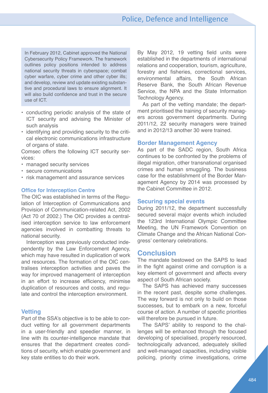In February 2012, Cabinet approved the National Cybersecurity Policy Framework. The framework outlines policy positions intended to address national security threats in cyberspace; combat cyber warfare, cyber crime and other cyber ills; and develop, review and update existing substantive and procedural laws to ensure alignment. It will also build confidence and trust in the secure use of ICT.

- conducting periodic analysis of the state of ICT security and advising the Minister of such analysis
- identifying and providing security to the critical electronic communications infrastructure of organs of state.

Comsec offers the following ICT security services:

- managed security services
- secure communications
- risk management and assurance services

#### **Office for Interception Centre**

The OIC was established in terms of the Regulation of Interception of Communications and Provision of Communication-related Act, 2002 (Act 70 of 2002.) The OIC provides a centralised interception service to law enforcement agencies involved in combatting threats to national security.

Interception was previously conducted independently by the Law Enforcement Agency, which may have resulted in duplication of work and resources. The formation of the OIC centralises interception activities and paves the way for improved management of interception in an effort to increase efficiency, minimise duplication of resources and costs, and regulate and control the interception environment.

#### **Vetting**

Part of the SSA's objective is to be able to conduct vetting for all government departments in a user-friendly and speedier manner, in line with its counter-intelligence mandate that ensures that the department creates conditions of security, which enable government and key state entities to do their work.

By May 2012, 19 vetting field units were established in the departments of international relations and cooperation, tourism, agriculture, forestry and fisheries, correctional services, environmental affairs, the South African Reserve Bank, the South African Revenue Service, the NPA and the State Information Technology Agency.

As part of the vetting mandate; the department prioritised the training of security managers across government departments. During 2011/12, 22 security managers were trained and in 2012/13 another 30 were trained.

#### **Border Management Agency**

As part of the SADC region, South Africa continues to be confronted by the problems of illegal migration, other transnational organised crimes and human smuggling. The business case for the establishment of the Border Management Agency by 2014 was processed by the Cabinet Committee in 2012.

#### **Securing special events**

During 2011/12, the department successfully secured several major events which included the 123rd International Olympic Committee Meeting, the UN Framework Convention on Climate Change and the African National Congress' centenary celebrations.

#### **Conclusion**

The mandate bestowed on the SAPS to lead in the fight against crime and corruption is a key element of government and affects every aspect of South African society.

The SAPS has achieved many successes in the recent past, despite some challenges. The way forward is not only to build on those successes, but to embark on a new, forceful course of action. A number of specific priorities will therefore be pursued in future.

The SAPS' ability to respond to the challenges will be enhanced through the focused developing of specialised, properly resourced, technologically advanced, adequately skilled and well-managed capacities, including visible policing, priority crime investigations, crime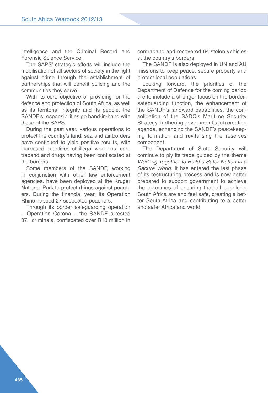intelligence and the Criminal Record and Forensic Science Service.

The SAPS' strategic efforts will include the mobilisation of all sectors of society in the fight against crime through the establishment of partnerships that will benefit policing and the communities they serve.

With its core objective of providing for the defence and protection of South Africa, as well as its territorial integrity and its people, the SANDF's responsibilities go hand-in-hand with those of the SAPS.

During the past year, various operations to protect the country's land, sea and air borders have continued to yield positive results, with increased quantities of illegal weapons, contraband and drugs having been confiscated at the borders.

Some members of the SANDF, working in conjunction with other law enforcement agencies, have been deployed at the Kruger National Park to protect rhinos against poachers. During the financial year, its Operation Rhino nabbed 27 suspected poachers.

Through its border safeguarding operation – Operation Corona – the SANDF arrested 371 criminals, confiscated over R13 million in

contraband and recovered 64 stolen vehicles at the country's borders.

The SANDF is also deployed in UN and AU missions to keep peace, secure property and protect local populations.

Looking forward, the priorities of the Department of Defence for the coming period are to include a stronger focus on the bordersafeguarding function, the enhancement of the SANDF's landward capabilities, the consolidation of the SADC's Maritime Security Strategy, furthering government's job creation agenda, enhancing the SANDF's peacekeeping formation and revitalising the reserves component.

The Department of State Security will continue to ply its trade guided by the theme *Working Together to Build a Safer Nation in a Secure World*. It has entered the last phase of its restructuring process and is now better prepared to support government to achieve the outcomes of ensuring that all people in South Africa are and feel safe, creating a better South Africa and contributing to a better and safer Africa and world.